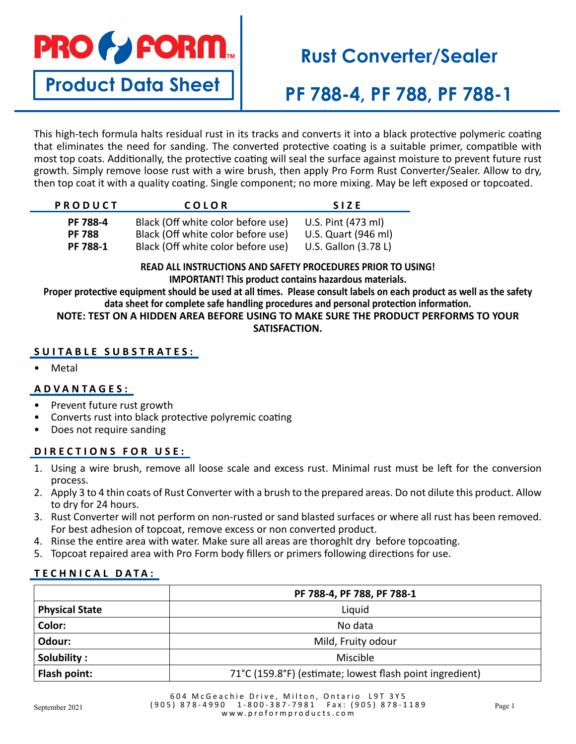

**Product Data Sheet**

# **Rust Converter/Sealer**

**PF 788-4, PF 788, PF 788-1**

This high-tech formula halts residual rust in its tracks and converts it into a black protective polymeric coating that eliminates the need for sanding. The converted protective coating is a suitable primer, compatible with most top coats. Additionally, the protective coating will seal the surface against moisture to prevent future rust growth. Simply remove loose rust with a wire brush, then apply Pro Form Rust Converter/Sealer. Allow to dry, then top coat it with a quality coating. Single component; no more mixing. May be left exposed or topcoated.

| <b>PRODUCT</b> | COLOR                              | <b>SIZE</b>          |
|----------------|------------------------------------|----------------------|
| PF 788-4       | Black (Off white color before use) | U.S. Pint (473 ml)   |
| <b>PF 788</b>  | Black (Off white color before use) | U.S. Quart (946 ml)  |
| PF 788-1       | Black (Off white color before use) | U.S. Gallon (3.78 L) |

### **READ ALL INSTRUCTIONS AND SAFETY PROCEDURES PRIOR TO USING! IMPORTANT! This product contains hazardous materials.**

**Proper protective equipment should be used at all times. Please consult labels on each product as well as the safety data sheet for complete safe handling procedures and personal protection information.**

**NOTE: TEST ON A HIDDEN AREA BEFORE USING TO MAKE SURE THE PRODUCT PERFORMS TO YOUR SATISFACTION.**

## **SUITABLE SUBSTRATES:**

**Metal** 

## **ADVANTAGES:**

- Prevent future rust growth
- Converts rust into black protective polyremic coating
- Does not require sanding

## **DIRECTIONS FOR USE:**

- 1. Using a wire brush, remove all loose scale and excess rust. Minimal rust must be left for the conversion process.
- 2. Apply 3 to 4 thin coats of Rust Converter with a brush to the prepared areas. Do not dilute this product. Allow to dry for 24 hours.
- 3. Rust Converter will not perform on non-rusted or sand blasted surfaces or where all rust has been removed. For best adhesion of topcoat, remove excess or non converted product.
- 4. Rinse the entire area with water. Make sure all areas are thoroghlt dry before topcoating.
- 5. Topcoat repaired area with Pro Form body fillers or primers following directions for use.

## **TECHNICAL DATA:**

|                       | PF 788-4, PF 788, PF 788-1                               |  |
|-----------------------|----------------------------------------------------------|--|
| <b>Physical State</b> | Liquid                                                   |  |
| Color:                | No data                                                  |  |
| Odour:                | Mild, Fruity odour                                       |  |
| Solubility:           | Miscible                                                 |  |
| Flash point:          | 71°C (159.8°F) (estimate; lowest flash point ingredient) |  |